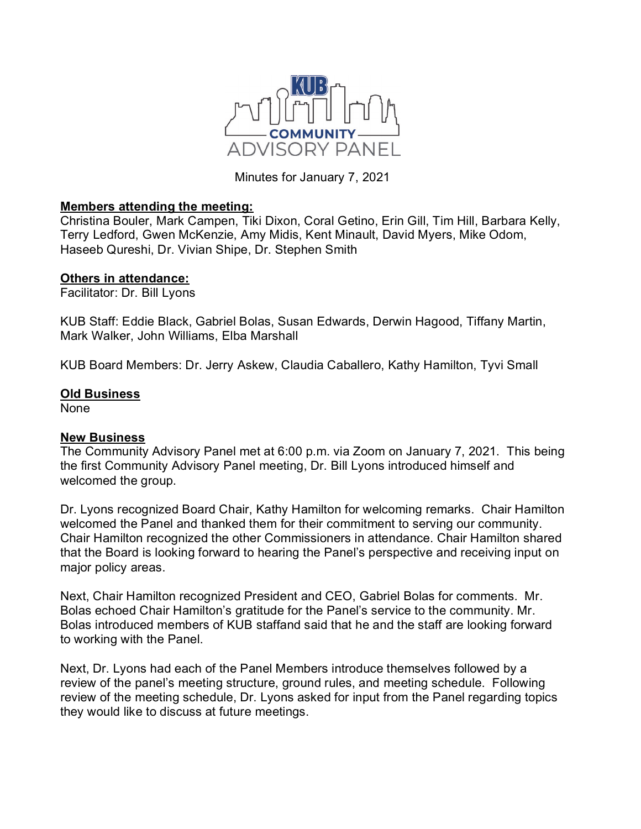

Minutes for January 7, 2021

## **Members attending the meeting:**

Christina Bouler, Mark Campen, Tiki Dixon, Coral Getino, Erin Gill, Tim Hill, Barbara Kelly, Terry Ledford, Gwen McKenzie, Amy Midis, Kent Minault, David Myers, Mike Odom, Haseeb Qureshi, Dr. Vivian Shipe, Dr. Stephen Smith

## **Others in attendance:**

Facilitator: Dr. Bill Lyons

KUB Staff: Eddie Black, Gabriel Bolas, Susan Edwards, Derwin Hagood, Tiffany Martin, Mark Walker, John Williams, Elba Marshall

KUB Board Members: Dr. Jerry Askew, Claudia Caballero, Kathy Hamilton, Tyvi Small

## **Old Business**

None

## **New Business**

The Community Advisory Panel met at 6:00 p.m. via Zoom on January 7, 2021. This being the first Community Advisory Panel meeting, Dr. Bill Lyons introduced himself and welcomed the group.

Dr. Lyons recognized Board Chair, Kathy Hamilton for welcoming remarks. Chair Hamilton welcomed the Panel and thanked them for their commitment to serving our community. Chair Hamilton recognized the other Commissioners in attendance. Chair Hamilton shared that the Board is looking forward to hearing the Panel's perspective and receiving input on major policy areas.

Next, Chair Hamilton recognized President and CEO, Gabriel Bolas for comments. Mr. Bolas echoed Chair Hamilton's gratitude for the Panel's service to the community. Mr. Bolas introduced members of KUB staffand said that he and the staff are looking forward to working with the Panel.

Next, Dr. Lyons had each of the Panel Members introduce themselves followed by a review of the panel's meeting structure, ground rules, and meeting schedule. Following review of the meeting schedule, Dr. Lyons asked for input from the Panel regarding topics they would like to discuss at future meetings.